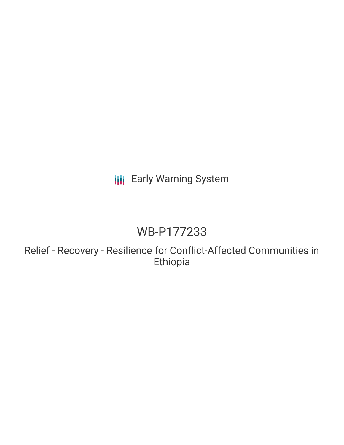# **III** Early Warning System

# WB-P177233

Relief - Recovery - Resilience for Conflict-Affected Communities in Ethiopia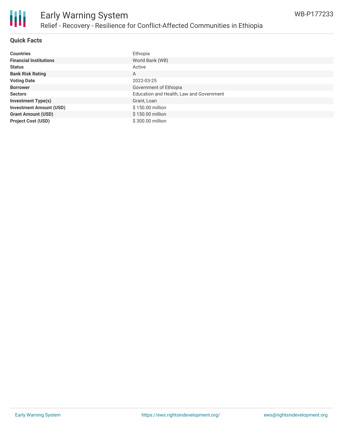

### **Quick Facts**

| <b>Countries</b>               | Ethiopia                                 |
|--------------------------------|------------------------------------------|
| <b>Financial Institutions</b>  | World Bank (WB)                          |
| <b>Status</b>                  | Active                                   |
| <b>Bank Risk Rating</b>        | A                                        |
| <b>Voting Date</b>             | 2022-03-25                               |
| <b>Borrower</b>                | Government of Ethiopia                   |
| <b>Sectors</b>                 | Education and Health, Law and Government |
| <b>Investment Type(s)</b>      | Grant, Loan                              |
| <b>Investment Amount (USD)</b> | \$150.00 million                         |
| <b>Grant Amount (USD)</b>      | \$150.00 million                         |
| <b>Project Cost (USD)</b>      | \$300.00 million                         |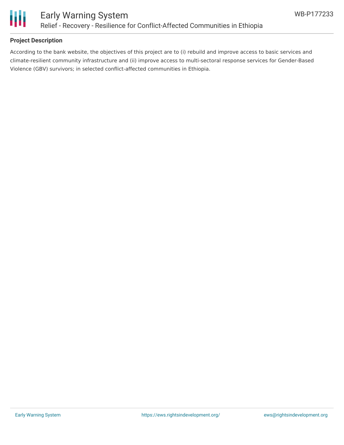

### **Project Description**

According to the bank website, the objectives of this project are to (i) rebuild and improve access to basic services and climate-resilient community infrastructure and (ii) improve access to multi-sectoral response services for Gender-Based Violence (GBV) survivors; in selected conflict-affected communities in Ethiopia.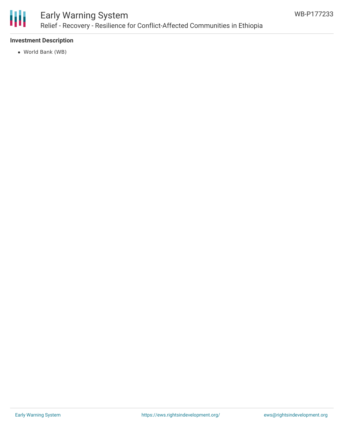

# Early Warning System Relief - Recovery - Resilience for Conflict-Affected Communities in Ethiopia

## **Investment Description**

World Bank (WB)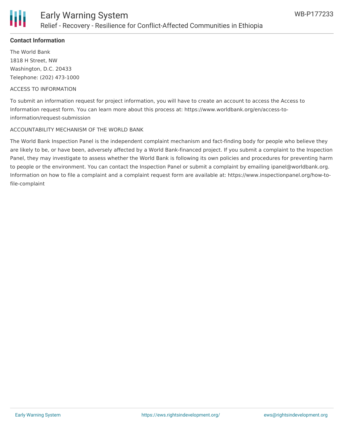

### **Contact Information**

The World Bank 1818 H Street, NW Washington, D.C. 20433 Telephone: (202) 473-1000

#### ACCESS TO INFORMATION

To submit an information request for project information, you will have to create an account to access the Access to Information request form. You can learn more about this process at: https://www.worldbank.org/en/access-toinformation/request-submission

#### ACCOUNTABILITY MECHANISM OF THE WORLD BANK

The World Bank Inspection Panel is the independent complaint mechanism and fact-finding body for people who believe they are likely to be, or have been, adversely affected by a World Bank-financed project. If you submit a complaint to the Inspection Panel, they may investigate to assess whether the World Bank is following its own policies and procedures for preventing harm to people or the environment. You can contact the Inspection Panel or submit a complaint by emailing ipanel@worldbank.org. Information on how to file a complaint and a complaint request form are available at: https://www.inspectionpanel.org/how-tofile-complaint